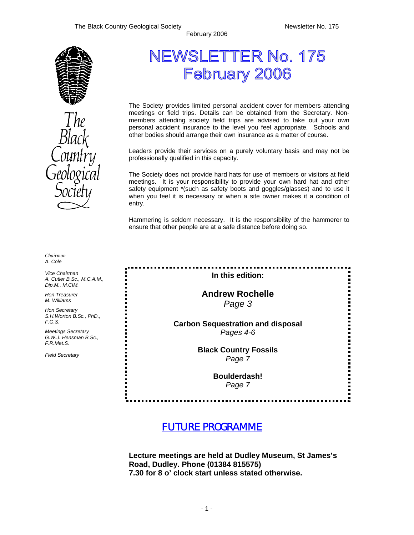

# NEWSLETTER No. 175 February 2006

February 2006

The Society provides limited personal accident cover for members attending meetings or field trips. Details can be obtained from the Secretary. Nonmembers attending society field trips are advised to take out your own personal accident insurance to the level you feel appropriate. Schools and other bodies should arrange their own insurance as a matter of course.

Leaders provide their services on a purely voluntary basis and may not be professionally qualified in this capacity.

The Society does not provide hard hats for use of members or visitors at field meetings. It is your responsibility to provide your own hard hat and other safety equipment \*(such as safety boots and goggles/glasses) and to use it when you feel it is necessary or when a site owner makes it a condition of entry.

Hammering is seldom necessary. It is the responsibility of the hammerer to ensure that other people are at a safe distance before doing so.

*Chairman A. Cole* 

*Vice Chairman A. Cutler B.Sc., M.C.A.M., Dip.M., M.CIM.* 

*Hon Treasurer M. Williams* 

*Hon Secretary S.H.Worton B.Sc., PhD., F.G.S.* 

*Meetings Secretary G.W.J. Hensman B.Sc., F.R.Met.S.* 

*Field Secretary* 

**In this edition:** 

**Andrew Rochelle**  *Page 3* 

**Carbon Sequestration and disposal**  *Pages 4-6* 

> **Black Country Fossils**  *Page 7*

> > **Boulderdash!**  *Page 7*

*FUTURE PROGRAMME* 

**Lecture meetings are held at Dudley Museum, St James's Road, Dudley. Phone (01384 815575) 7.30 for 8 o' clock start unless stated otherwise.**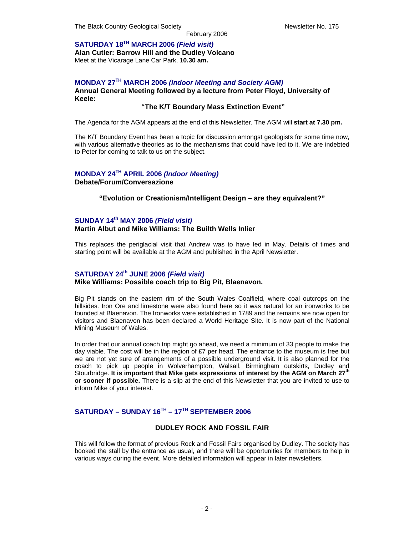**SATURDAY 18TH MARCH 2006** *(Field visit)*  **Alan Cutler: Barrow Hill and the Dudley Volcano**  Meet at the Vicarage Lane Car Park, **10.30 am.** 

#### **MONDAY 27TH MARCH 2006** *(Indoor Meeting and Society AGM)*  **Annual General Meeting followed by a lecture from Peter Floyd, University of Keele:**

#### **"The K/T Boundary Mass Extinction Event"**

The Agenda for the AGM appears at the end of this Newsletter. The AGM will **start at 7.30 pm.**

The K/T Boundary Event has been a topic for discussion amongst geologists for some time now, with various alternative theories as to the mechanisms that could have led to it. We are indebted to Peter for coming to talk to us on the subject.

#### **MONDAY 24TH APRIL 2006** *(Indoor Meeting)*  **Debate/Forum/Conversazione**

#### **"Evolution or Creationism/Intelligent Design – are they equivalent?"**

#### **SUNDAY 14th MAY 2006** *(Field visit)*  **Martin Albut and Mike Williams: The Builth Wells Inlier**

This replaces the periglacial visit that Andrew was to have led in May. Details of times and starting point will be available at the AGM and published in the April Newsletter.

#### **SATURDAY 24th JUNE 2006** *(Field visit)*

#### **Mike Williams: Possible coach trip to Big Pit, Blaenavon.**

Big Pit stands on the eastern rim of the South Wales Coalfield, where coal outcrops on the hillsides. Iron Ore and limestone were also found here so it was natural for an ironworks to be founded at Blaenavon. The Ironworks were established in 1789 and the remains are now open for visitors and Blaenavon has been declared a World Heritage Site. It is now part of the National Mining Museum of Wales.

In order that our annual coach trip might go ahead, we need a minimum of 33 people to make the day viable. The cost will be in the region of  $E7$  per head. The entrance to the museum is free but we are not yet sure of arrangements of a possible underground visit. It is also planned for the coach to pick up people in Wolverhampton, Walsall, Birmingham outskirts, Dudley and Stourbridge. It is important that Mike gets expressions of interest by the AGM on March 27<sup>th</sup> **or sooner if possible.** There is a slip at the end of this Newsletter that you are invited to use to inform Mike of your interest.

#### **SATURDAY – SUNDAY 16TH – 17TH SEPTEMBER 2006**

#### **DUDLEY ROCK AND FOSSIL FAIR**

This will follow the format of previous Rock and Fossil Fairs organised by Dudley. The society has booked the stall by the entrance as usual, and there will be opportunities for members to help in various ways during the event. More detailed information will appear in later newsletters.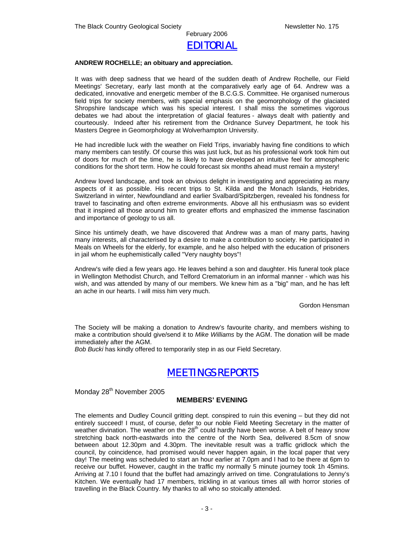

#### **ANDREW ROCHELLE; an obituary and appreciation.**

It was with deep sadness that we heard of the sudden death of Andrew Rochelle, our Field Meetings' Secretary, early last month at the comparatively early age of 64. Andrew was a dedicated, innovative and energetic member of the B.C.G.S. Committee. He organised numerous field trips for society members, with special emphasis on the geomorphology of the glaciated Shropshire landscape which was his special interest. I shall miss the sometimes vigorous debates we had about the interpretation of glacial features - always dealt with patiently and courteously. Indeed after his retirement from the Ordnance Survey Department, he took his Masters Degree in Geomorphology at Wolverhampton University.

He had incredible luck with the weather on Field Trips, invariably having fine conditions to which many members can testify. Of course this was just luck, but as his professional work took him out of doors for much of the time, he is likely to have developed an intuitive feel for atmospheric conditions for the short term. How he could forecast six months ahead must remain a mystery!

Andrew loved landscape, and took an obvious delight in investigating and appreciating as many aspects of it as possible. His recent trips to St. Kilda and the Monach Islands, Hebrides, Switzerland in winter, Newfoundland and earlier Svalbard/Spitzbergen, revealed his fondness for travel to fascinating and often extreme environments. Above all his enthusiasm was so evident that it inspired all those around him to greater efforts and emphasized the immense fascination and importance of geology to us all.

Since his untimely death, we have discovered that Andrew was a man of many parts, having many interests, all characterised by a desire to make a contribution to society. He participated in Meals on Wheels for the elderly, for example, and he also helped with the education of prisoners in jail whom he euphemistically called "Very naughty boys"!

Andrew's wife died a few years ago. He leaves behind a son and daughter. His funeral took place in Wellington Methodist Church, and Telford Crematorium in an informal manner - which was his wish, and was attended by many of our members. We knew him as a "big" man, and he has left an ache in our hearts. I will miss him very much.

Gordon Hensman

The Society will be making a donation to Andrew's favourite charity, and members wishing to make a contribution should give/send it to *Mike Williams* by the AGM. The donation will be made immediately after the AGM.

*Bob Bucki* has kindly offered to temporarily step in as our Field Secretary.

### *MEETINGS REPORTS*

Monday 28<sup>th</sup> November 2005

#### **MEMBERS' EVENING**

The elements and Dudley Council gritting dept. conspired to ruin this evening – but they did not entirely succeed! I must, of course, defer to our noble Field Meeting Secretary in the matter of weather divination. The weather on the  $28<sup>th</sup>$  could hardly have been worse. A belt of heavy snow stretching back north-eastwards into the centre of the North Sea, delivered 8.5cm of snow between about 12.30pm and 4.30pm. The inevitable result was a traffic gridlock which the council, by coincidence, had promised would never happen again, in the local paper that very day! The meeting was scheduled to start an hour earlier at 7.0pm and I had to be there at 6pm to receive our buffet. However, caught in the traffic my normally 5 minute journey took 1h 45mins. Arriving at 7.10 I found that the buffet had amazingly arrived on time. Congratulations to Jenny's Kitchen. We eventually had 17 members, trickling in at various times all with horror stories of travelling in the Black Country. My thanks to all who so stoically attended.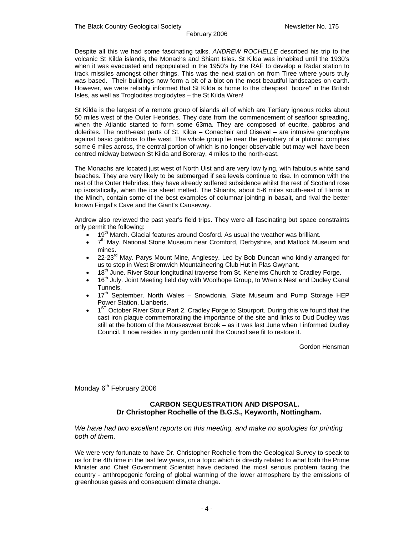Despite all this we had some fascinating talks. *ANDREW ROCHELLE* described his trip to the volcanic St Kilda islands, the Monachs and Shiant Isles. St Kilda was inhabited until the 1930's when it was evacuated and repopulated in the 1950's by the RAF to develop a Radar station to track missiles amongst other things. This was the next station on from Tiree where yours truly was based. Their buildings now form a bit of a blot on the most beautiful landscapes on earth. However, we were reliably informed that St Kilda is home to the cheapest "booze" in the British Isles, as well as Troglodites troglodytes – the St Kilda Wren!

St Kilda is the largest of a remote group of islands all of which are Tertiary igneous rocks about 50 miles west of the Outer Hebrides. They date from the commencement of seafloor spreading, when the Atlantic started to form some 63ma. They are composed of eucrite, gabbros and dolerites. The north-east parts of St. Kilda – Conachair and Oiseval – are intrusive granophyre against basic gabbros to the west. The whole group lie near the periphery of a plutonic complex some 6 miles across, the central portion of which is no longer observable but may well have been centred midway between St Kilda and Boreray, 4 miles to the north-east.

The Monachs are located just west of North Uist and are very low lying, with fabulous white sand beaches. They are very likely to be submerged if sea levels continue to rise. In common with the rest of the Outer Hebrides, they have already suffered subsidence whilst the rest of Scotland rose up isostatically, when the ice sheet melted. The Shiants, about 5-6 miles south-east of Harris in the Minch, contain some of the best examples of columnar jointing in basalt, and rival the better known Fingal's Cave and the Giant's Causeway.

Andrew also reviewed the past year's field trips. They were all fascinating but space constraints only permit the following:

- 19<sup>th</sup> March. Glacial features around Cosford. As usual the weather was brilliant.
- $7<sup>th</sup>$  May. National Stone Museum near Cromford, Derbyshire, and Matlock Museum and mines.
- 22-23<sup>rd</sup> May. Parys Mount Mine, Anglesey. Led by Bob Duncan who kindly arranged for us to stop in West Bromwich Mountaineering Club Hut in Plas Gwynant.
- 18<sup>th</sup> June. River Stour longitudinal traverse from St. Kenelms Church to Cradley Forge.
- 16<sup>th</sup> July. Joint Meeting field day with Woolhope Group, to Wren's Nest and Dudley Canal Tunnels.
- $17<sup>th</sup>$  September. North Wales Snowdonia, Slate Museum and Pump Storage HEP Power Station, Llanberis.
- 1<sup>ST</sup> October River Stour Part 2. Cradley Forge to Stourport. During this we found that the cast iron plaque commemorating the importance of the site and links to Dud Dudley was still at the bottom of the Mousesweet Brook – as it was last June when I informed Dudley Council. It now resides in my garden until the Council see fit to restore it.

Gordon Hensman

Monday 6<sup>th</sup> February 2006

#### **CARBON SEQUESTRATION AND DISPOSAL. Dr Christopher Rochelle of the B.G.S., Keyworth, Nottingham.**

*We have had two excellent reports on this meeting, and make no apologies for printing both of them.* 

We were very fortunate to have Dr. Christopher Rochelle from the Geological Survey to speak to us for the 4th time in the last few years, on a topic which is directly related to what both the Prime Minister and Chief Government Scientist have declared the most serious problem facing the country - anthropogenic forcing of global warming of the lower atmosphere by the emissions of greenhouse gases and consequent climate change.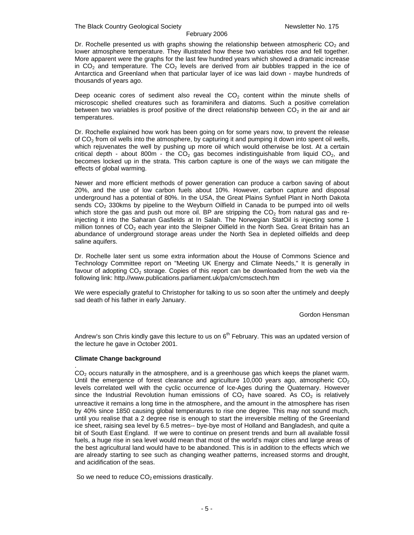Dr. Rochelle presented us with graphs showing the relationship between atmospheric  $CO<sub>2</sub>$  and lower atmosphere temperature. They illustrated how these two variables rose and fell together. More apparent were the graphs for the last few hundred years which showed a dramatic increase in  $CO<sub>2</sub>$  and temperature. The  $CO<sub>2</sub>$  levels are derived from air bubbles trapped in the ice of Antarctica and Greenland when that particular layer of ice was laid down - maybe hundreds of thousands of years ago.

Deep oceanic cores of sediment also reveal the  $CO<sub>2</sub>$  content within the minute shells of microscopic shelled creatures such as foraminifera and diatoms. Such a positive correlation between two variables is proof positive of the direct relationship between  $CO<sub>2</sub>$  in the air and air temperatures.

Dr. Rochelle explained how work has been going on for some years now, to prevent the release of  $CO<sub>2</sub>$  from oil wells into the atmosphere, by capturing it and pumping it down into spent oil wells, which rejuvenates the well by pushing up more oil which would otherwise be lost. At a certain critical depth - about 800m - the  $CO<sub>2</sub>$  gas becomes indistinguishable from liquid  $CO<sub>2</sub>$ , and becomes locked up in the strata. This carbon capture is one of the ways we can mitigate the effects of global warming.

Newer and more efficient methods of power generation can produce a carbon saving of about 20%, and the use of low carbon fuels about 10%. However, carbon capture and disposal underground has a potential of 80%. In the USA, the Great Plains Synfuel Plant in North Dakota sends  $CO<sub>2</sub>$  330kms by pipeline to the Weyburn Oilfield in Canada to be pumped into oil wells which store the gas and push out more oil. BP are stripping the  $CO<sub>2</sub>$  from natural gas and reinjecting it into the Saharan Gasfields at In Salah. The Norwegian StatOil is injecting some 1 million tonnes of  $CO<sub>2</sub>$  each year into the Sleipner Oilfield in the North Sea. Great Britain has an abundance of underground storage areas under the North Sea in depleted oilfields and deep saline aquifers.

Dr. Rochelle later sent us some extra information about the House of Commons Science and Technology Committee report on "Meeting UK Energy and Climate Needs," It is generally in favour of adopting  $CO<sub>2</sub>$  storage. Copies of this report can be downloaded from the web via the following link: http.//www.publications.parliament.uk/pa/cm/cmsctech.htm

We were especially grateful to Christopher for talking to us so soon after the untimely and deeply sad death of his father in early January.

Gordon Hensman

Andrew's son Chris kindly gave this lecture to us on  $6<sup>th</sup>$  February. This was an updated version of the lecture he gave in October 2001.

#### **Climate Change background**

.  $CO<sub>2</sub>$  occurs naturally in the atmosphere, and is a greenhouse gas which keeps the planet warm. Until the emergence of forest clearance and agriculture 10,000 years ago, atmospheric  $CO<sub>2</sub>$ levels correlated well with the cyclic occurrence of Ice-Ages during the Quaternary. However since the Industrial Revolution human emissions of  $CO<sub>2</sub>$  have soared. As  $CO<sub>2</sub>$  is relatively unreactive it remains a long time in the atmosphere, and the amount in the atmosphere has risen by 40% since 1850 causing global temperatures to rise one degree. This may not sound much, until you realise that a 2 degree rise is enough to start the irreversible melting of the Greenland ice sheet, raising sea level by 6.5 metres-- bye-bye most of Holland and Bangladesh, and quite a bit of South East England. If we were to continue on present trends and burn all available fossil fuels, a huge rise in sea level would mean that most of the world's major cities and large areas of the best agricultural land would have to be abandoned. This is in addition to the effects which we are already starting to see such as changing weather patterns, increased storms and drought, and acidification of the seas.

So we need to reduce  $CO<sub>2</sub>$  emissions drastically.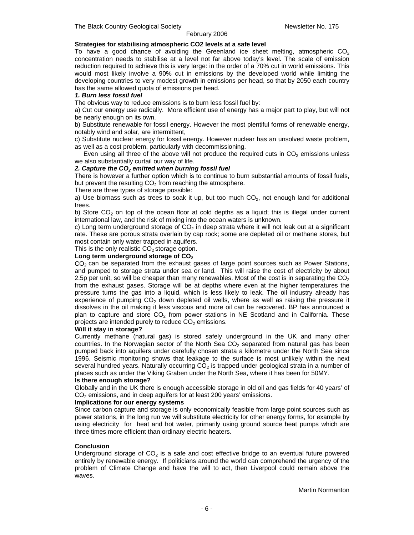The Black Country Geological Society Newsletter No. 175

#### February 2006

#### **Strategies for stabilising atmospheric CO2 levels at a safe level**

To have a good chance of avoiding the Greenland ice sheet melting, atmospheric  $CO<sub>2</sub>$ concentration needs to stabilise at a level not far above today's level. The scale of emission reduction required to achieve this is very large: in the order of a 70% cut in world emissions. This would most likely involve a 90% cut in emissions by the developed world while limiting the developing countries to very modest growth in emissions per head, so that by 2050 each country has the same allowed quota of emissions per head.

#### *1. Burn less fossil fuel*

The obvious way to reduce emissions is to burn less fossil fuel by:

a) Cut our energy use radically. More efficient use of energy has a major part to play, but will not be nearly enough on its own.

b) Substitute renewable for fossil energy. However the most plentiful forms of renewable energy, notably wind and solar, are intermittent,

c) Substitute nuclear energy for fossil energy. However nuclear has an unsolved waste problem, as well as a cost problem, particularly with decommissioning.

Even using all three of the above will not produce the required cuts in  $CO<sub>2</sub>$  emissions unless we also substantially curtail our way of life.

#### 2. Capture the CO<sub>2</sub> emitted when burning fossil fuel

There is however a further option which is to continue to burn substantial amounts of fossil fuels, but prevent the resulting  $CO<sub>2</sub>$  from reaching the atmosphere.

There are three types of storage possible:

a) Use biomass such as trees to soak it up, but too much  $CO<sub>2</sub>$ , not enough land for additional trees.

b) Store  $CO<sub>2</sub>$  on top of the ocean floor at cold depths as a liquid; this is illegal under current international law, and the risk of mixing into the ocean waters is unknown.

c) Long term underground storage of  $CO<sub>2</sub>$  in deep strata where it will not leak out at a significant rate. These are porous strata overlain by cap rock; some are depleted oil or methane stores, but most contain only water trapped in aquifers.

This is the only realistic  $CO<sub>2</sub>$  storage option.

#### Long term underground storage of CO<sub>2</sub>

 $CO<sub>2</sub>$  can be separated from the exhaust gases of large point sources such as Power Stations, and pumped to storage strata under sea or land. This will raise the cost of electricity by about 2.5p per unit, so will be cheaper than many renewables. Most of the cost is in separating the  $CO<sub>2</sub>$ from the exhaust gases. Storage will be at depths where even at the higher temperatures the pressure turns the gas into a liquid, which is less likely to leak. The oil industry already has experience of pumping  $CO<sub>2</sub>$  down depleted oil wells, where as well as raising the pressure it dissolves in the oil making it less viscous and more oil can be recovered. BP has announced a plan to capture and store  $CO<sub>2</sub>$  from power stations in NE Scotland and in California. These projects are intended purely to reduce  $CO<sub>2</sub>$  emissions.

#### **Will it stay in storage?**

Currently methane (natural gas) is stored safely underground in the UK and many other countries. In the Norwegian sector of the North Sea  $CO<sub>2</sub>$  separated from natural gas has been pumped back into aquifers under carefully chosen strata a kilometre under the North Sea since 1996. Seismic monitoring shows that leakage to the surface is most unlikely within the next several hundred years. Naturally occurring  $CO<sub>2</sub>$  is trapped under geological strata in a number of places such as under the Viking Graben under the North Sea, where it has been for 50MY.

#### **Is there enough storage?**

Globally and in the UK there is enough accessible storage in old oil and gas fields for 40 years' of  $CO<sub>2</sub>$  emissions, and in deep aquifers for at least 200 years' emissions.

#### **Implications for our energy systems**

Since carbon capture and storage is only economically feasible from large point sources such as power stations, in the long run we will substitute electricity for other energy forms, for example by using electricity for heat and hot water, primarily using ground source heat pumps which are three times more efficient than ordinary electric heaters.

#### **Conclusion**

Underground storage of  $CO<sub>2</sub>$  is a safe and cost effective bridge to an eventual future powered entirely by renewable energy. If politicians around the world can comprehend the urgency of the problem of Climate Change and have the will to act, then Liverpool could remain above the waves.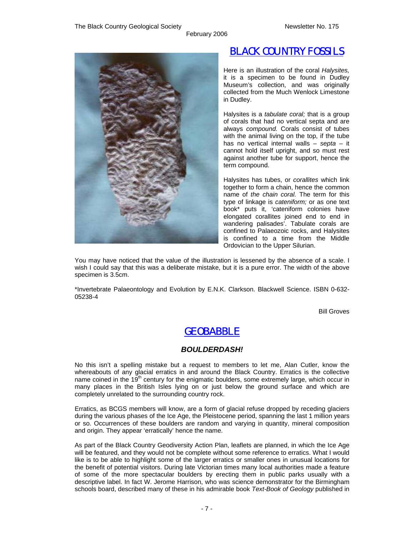

## *BLACK COUNTRY FOSSILS*

Here is an illustration of the coral *Halysites,*  it is a specimen to be found in Dudley Museum's collection, and was originally collected from the Much Wenlock Limestone in Dudley.

Halysites is a *tabulate coral;* that is a group of corals that had no vertical septa and are always *compound.* Corals consist of tubes with the animal living on the top, if the tube has no vertical internal walls – *septa* – it cannot hold itself upright, and so must rest against another tube for support, hence the term compound.

Halysites has tubes, or *corallites* which link together to form a chain, hence the common name of *the chain coral.* The term for this type of linkage is *cateniform;* or as one text book\* puts it, 'cateniform colonies have elongated corallites joined end to end in wandering palisades'. Tabulate corals are confined to Palaeozoic rocks, and Halysites is confined to a time from the Middle Ordovician to the Upper Silurian.

You may have noticed that the value of the illustration is lessened by the absence of a scale. I wish I could say that this was a deliberate mistake, but it is a pure error. The width of the above specimen is 3.5cm.

February 2006

\*Invertebrate Palaeontology and Evolution by E.N.K. Clarkson. Blackwell Science. ISBN 0-632- 05238-4

Bill Groves

### *GEOBABBLE*

#### *BOULDERDASH!*

No this isn't a spelling mistake but a request to members to let me, Alan Cutler, know the whereabouts of any glacial erratics in and around the Black Country. Erratics is the collective name coined in the  $19<sup>th</sup>$  century for the enigmatic boulders, some extremely large, which occur in many places in the British Isles lying on or just below the ground surface and which are completely unrelated to the surrounding country rock.

Erratics, as BCGS members will know, are a form of glacial refuse dropped by receding glaciers during the various phases of the Ice Age, the Pleistocene period, spanning the last 1 million years or so. Occurrences of these boulders are random and varying in quantity, mineral composition and origin. They appear 'erratically' hence the name.

As part of the Black Country Geodiversity Action Plan, leaflets are planned, in which the Ice Age will be featured, and they would not be complete without some reference to erratics. What I would like is to be able to highlight some of the larger erratics or smaller ones in unusual locations for the benefit of potential visitors. During late Victorian times many local authorities made a feature of some of the more spectacular boulders by erecting them in public parks usually with a descriptive label. In fact W. Jerome Harrison, who was science demonstrator for the Birmingham schools board, described many of these in his admirable book *Text-Book of Geology* published in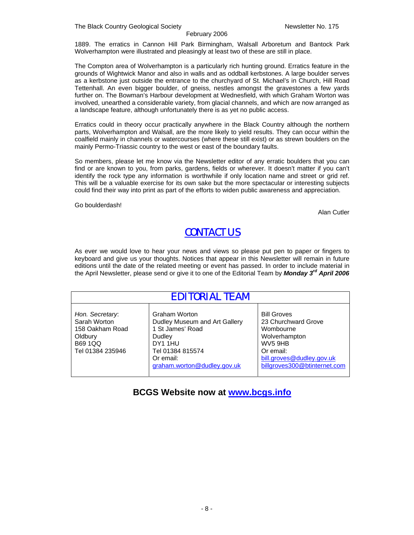1889. The erratics in Cannon Hill Park Birmingham, Walsall Arboretum and Bantock Park Wolverhampton were illustrated and pleasingly at least two of these are still in place.

The Compton area of Wolverhampton is a particularly rich hunting ground. Erratics feature in the grounds of Wightwick Manor and also in walls and as oddball kerbstones. A large boulder serves as a kerbstone just outside the entrance to the churchyard of St. Michael's in Church, Hill Road Tettenhall. An even bigger boulder, of gneiss, nestles amongst the gravestones a few yards further on. The Bowman's Harbour development at Wednesfield, with which Graham Worton was involved, unearthed a considerable variety, from glacial channels, and which are now arranged as a landscape feature, although unfortunately there is as yet no public access.

Erratics could in theory occur practically anywhere in the Black Country although the northern parts, Wolverhampton and Walsall, are the more likely to yield results. They can occur within the coalfield mainly in channels or watercourses (where these still exist) or as strewn boulders on the mainly Permo-Triassic country to the west or east of the boundary faults.

So members, please let me know via the Newsletter editor of any erratic boulders that you can find or are known to you, from parks, gardens, fields or wherever. It doesn't matter if you can't identify the rock type any information is worthwhile if only location name and street or grid ref. This will be a valuable exercise for its own sake but the more spectacular or interesting subjects could find their way into print as part of the efforts to widen public awareness and appreciation.

Go boulderdash!

Alan Cutler

### *CONTACT US*

As ever we would love to hear your news and views so please put pen to paper or fingers to keyboard and give us your thoughts. Notices that appear in this Newsletter will remain in future editions until the date of the related meeting or event has passed. In order to include material in the April Newsletter, please send or give it to one of the Editorial Team by *Monday 3rd April 2006* 

| EDITORIAL TEAM                                                                                      |                                                                                                                                                         |                                                                                                                                                                          |  |  |  |
|-----------------------------------------------------------------------------------------------------|---------------------------------------------------------------------------------------------------------------------------------------------------------|--------------------------------------------------------------------------------------------------------------------------------------------------------------------------|--|--|--|
| Hon. Secretary:<br>Sarah Worton<br>158 Oakham Road<br>Oldbury<br><b>B69 1QQ</b><br>Tel 01384 235946 | Graham Worton<br>Dudley Museum and Art Gallery<br>1 St James' Road<br>Dudley<br>DY1 1HU<br>Tel 01384 815574<br>Or email:<br>graham.worton@dudley.gov.uk | <b>Bill Groves</b><br>23 Churchward Grove<br>Wombourne<br>Wolverhampton<br>WV <sub>5</sub> 9HB<br>Or email:<br>bill.groves@dudley.gov.uk<br>billgroves300@btinternet.com |  |  |  |

### **BCGS Website now at www.bcgs.info**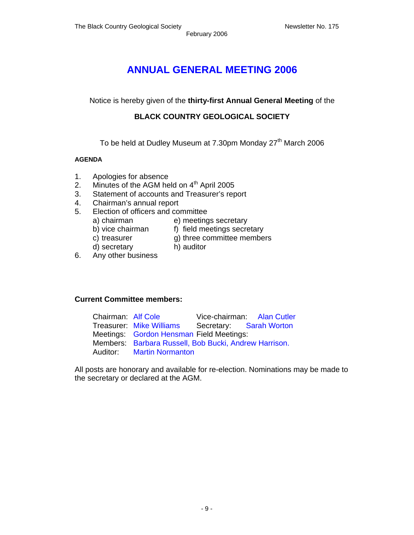### **ANNUAL GENERAL MEETING 2006**

Notice is hereby given of the **thirty-first Annual General Meeting** of the

### **BLACK COUNTRY GEOLOGICAL SOCIETY**

To be held at Dudley Museum at 7.30pm Monday 27<sup>th</sup> March 2006

#### **AGENDA**

- 1. Apologies for absence
- 2. Minutes of the AGM held on  $4<sup>th</sup>$  April 2005
- 3. Statement of accounts and Treasurer's report
- 4. Chairman's annual report
- 5. Election of officers and committee
	- a) chairman e) meetings secretary<br>b) vice chairman f) field meetings secre
	-
- f) field meetings secretary
- c) treasurer g) three committee members
- 
- d) secretary h) auditor
- 6. Any other business

### **Current Committee members:**

| Chairman: Alf Cole |                                                       | Vice-chairman: Alan Cutler |
|--------------------|-------------------------------------------------------|----------------------------|
|                    | Treasurer: Mike Williams Secretary: Sarah Worton      |                            |
|                    | Meetings: Gordon Hensman Field Meetings:              |                            |
|                    | Members: Barbara Russell, Bob Bucki, Andrew Harrison. |                            |
|                    | <b>Auditor:</b> Martin Normanton                      |                            |

All posts are honorary and available for re-election. Nominations may be made to the secretary or declared at the AGM.